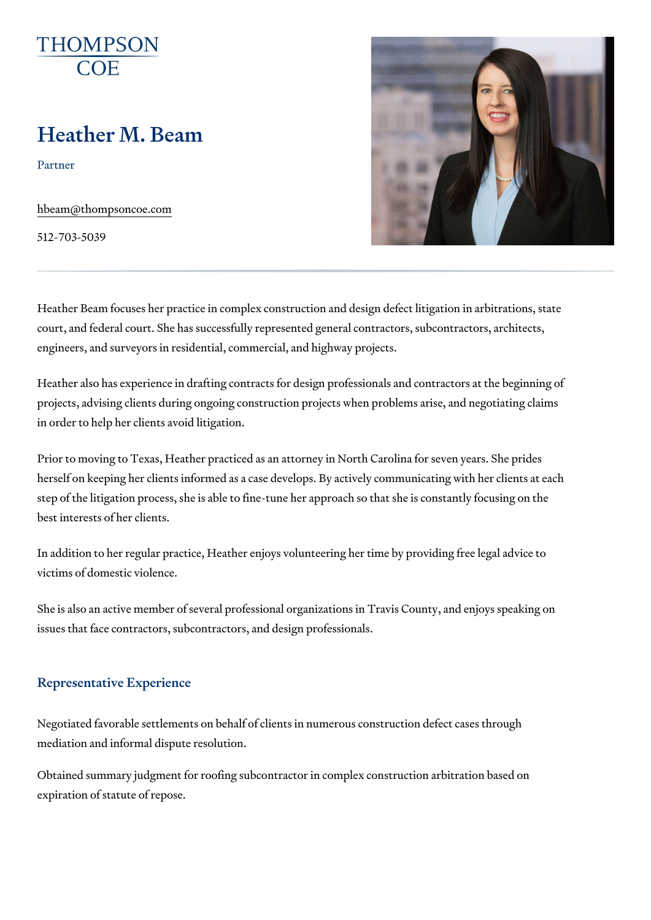# Heather M. Beam

Partner

[hbeam@thompso](mailto:hbeam@thompsoncoe.com)ncoe.com

512-703-5039

Heather Beam focuses her practice in complex construction and design def court, and federal court. She has successfully represented general contrac engineers, and surveyors in residential, commercial, and highway projects.

Heather also has experience in drafting contracts for design professionals projects, advising clients during ongoing construction projects when proble in order to help her clients avoid litigation.

Prior to moving to Texas, Heather practiced as an attorney in North Caroli herself on keeping her clients informed as a case develops. By actively co step of the litigation process, she is able to fine-tune her approach so tha best interests of her clients.

In addition to her regular practice, Heather enjoys volunteering her time b victims of domestic violence.

She is also an active member of several professional organizations in Trav issues that face contractors, subcontractors, and design professionals.

#### Representative Experience

Negotiated favorable settlements on behalf of clients in numerous construction mediation and informal dispute resolution.

Obtained summary judgment for roofing subcontractor in complex construct expiration of statute of repose.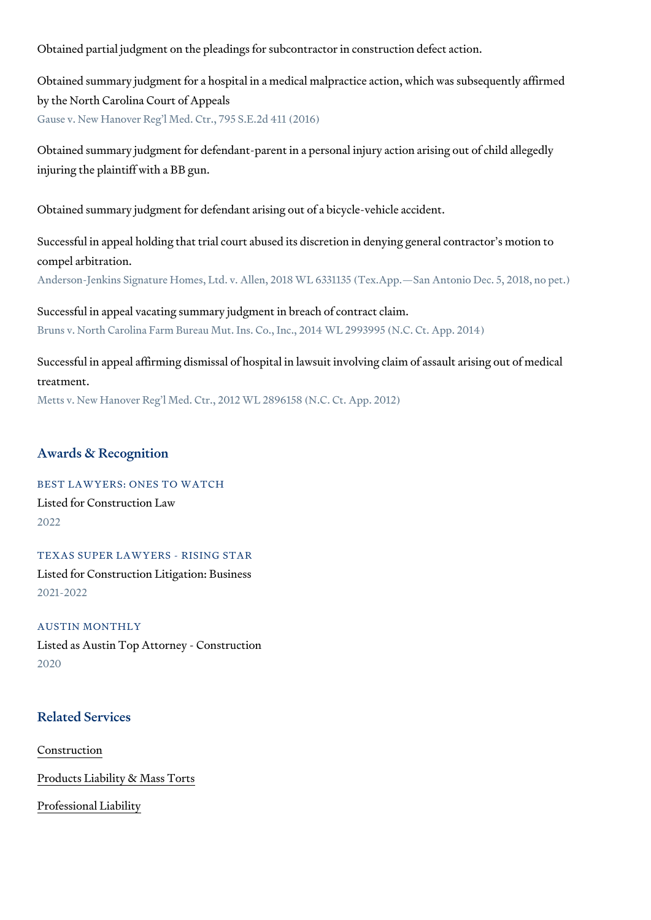Obtained partial judgment on the pleadings for subcontractor in construction

Obtained summary judgment for a hospital in a medical malpractice action, by the North Carolina Court of Appeals Gause v. New Hanover Reg l Med. Ctr., 795 S.E.2d 411 (2016)

Obtained summary judgment for defendant-parent in a personal injury action injuring the plaintiff with a BB gun.

Obtained summary judgment for defendant arising out of a bicycle-vehicle

Successful in appeal holding that trial court abused its discretion in denyi compel arbitration.

Anderson-Jenkins Signature Homes, Ltd. v. Allen, 2018 WL 6331135 (Tex.App. S

Successful in appeal vacating summary judgment in breach of contract clai Bruns v. North Carolina Farm Bureau Mut. Ins. Co., Inc., 2014 WL 2993995 (N.C.

Successful in appeal affirming dismissal of hospital in lawsuit involving cl treatment. Metts v. New Hanover Reg l Med. Ctr., 2012 WL 2896158 (N.C. Ct. App. 2012)

#### Awards & Recognition

BEST LAWYERS: ONES TO WATCH Listed for Construction Law 2022

TEXAS SUPER LAWYERS - RISING STAR Listed for Construction Litigation: Business 2021-2022

#### AUSTIN MONTHLY

Listed as Austin Top Attorney - Construction 2020

#### Related Services

[Constru](https://www.thompsoncoe.com/people/heather-m-beam/)ction

[Products Liability &](https://www.thompsoncoe.com/people/heather-m-beam/) Mass Torts

[Professional](https://www.thompsoncoe.com/people/heather-m-beam/) Liability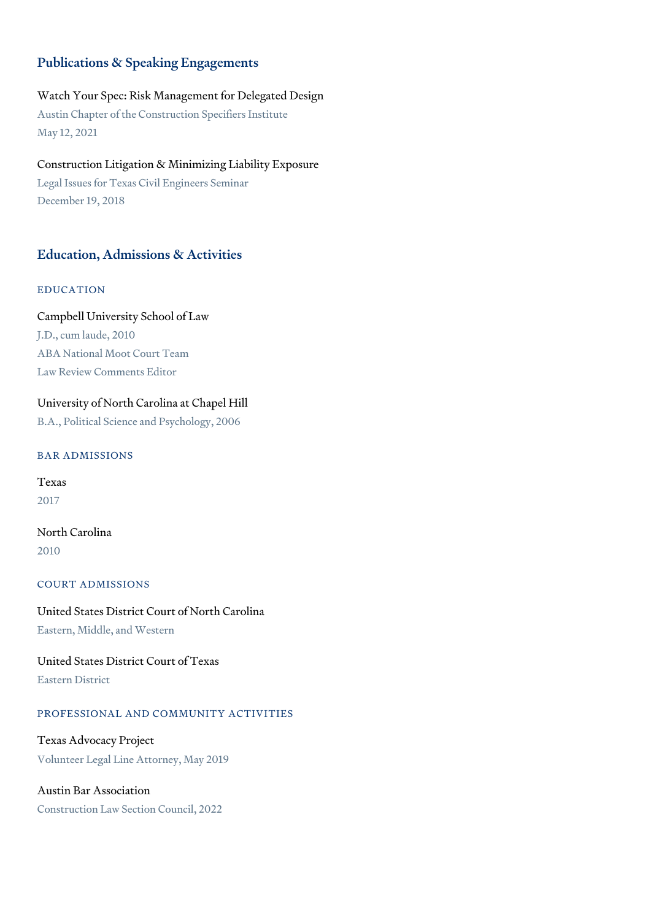## Publications & Speaking Engagements

### Watch Your Spec: Risk Management for Delegated Design

Austin Chapter of the Construction Specifiers Institute May 12, 2021

### Construction Litigation & Minimizing Liability Exposure

Legal Issues for Texas Civil Engineers Seminar December 19, 2018

### Education, Admissions & Activities

#### EDUCATION

#### Campbell University School of Law

J.D., cum laude, 2010 ABA National Moot Court Team Law Review Comments Editor

#### University of North Carolina at Chapel Hill

B.A., Political Science and Psychology, 2006

#### BAR ADMISSIONS

Texas 2017

North Carolina 2010

#### COURT ADMISSIONS

### United States District Court of North Carolina Eastern, Middle, and Western

United States District Court of Texas Eastern District

#### PROFESSIONAL AND COMMUNITY ACTIVITIES

Texas Advocacy Project Volunteer Legal Line Attorney, May 2019

## Austin Bar Association

Construction Law Section Council, 2022